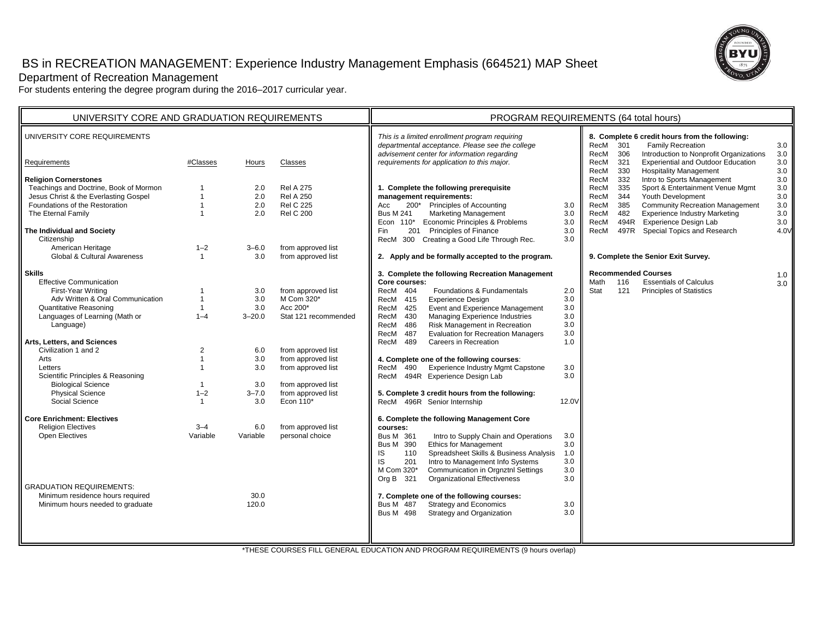# BS in RECREATION MANAGEMENT: Experience Industry Management Emphasis (664521) MAP Sheet



Department of Recreation Management

For students entering the degree program during the 2016–2017 curricular year.

| UNIVERSITY CORE AND GRADUATION REQUIREMENTS                                                                                                                                                                                                                                                                                                                                                                                                                                                                                                                                       |                                                                                                                                                                |                                                                                                                     |                                                                                                                                                                                                                                          | PROGRAM REQUIREMENTS (64 total hours)                                                                                                                                                                                                                                                                                                                                                                                                                                                                                                                                                                                                                                                                                                                                                                                                                                                                                                                                                                                                                                                                                                                               |                                                                                                                              |                                                                                                                                                                                                                                                                                                                                                                                                   |
|-----------------------------------------------------------------------------------------------------------------------------------------------------------------------------------------------------------------------------------------------------------------------------------------------------------------------------------------------------------------------------------------------------------------------------------------------------------------------------------------------------------------------------------------------------------------------------------|----------------------------------------------------------------------------------------------------------------------------------------------------------------|---------------------------------------------------------------------------------------------------------------------|------------------------------------------------------------------------------------------------------------------------------------------------------------------------------------------------------------------------------------------|---------------------------------------------------------------------------------------------------------------------------------------------------------------------------------------------------------------------------------------------------------------------------------------------------------------------------------------------------------------------------------------------------------------------------------------------------------------------------------------------------------------------------------------------------------------------------------------------------------------------------------------------------------------------------------------------------------------------------------------------------------------------------------------------------------------------------------------------------------------------------------------------------------------------------------------------------------------------------------------------------------------------------------------------------------------------------------------------------------------------------------------------------------------------|------------------------------------------------------------------------------------------------------------------------------|---------------------------------------------------------------------------------------------------------------------------------------------------------------------------------------------------------------------------------------------------------------------------------------------------------------------------------------------------------------------------------------------------|
| UNIVERSITY CORE REQUIREMENTS                                                                                                                                                                                                                                                                                                                                                                                                                                                                                                                                                      |                                                                                                                                                                |                                                                                                                     |                                                                                                                                                                                                                                          | This is a limited enrollment program requiring<br>departmental acceptance. Please see the college                                                                                                                                                                                                                                                                                                                                                                                                                                                                                                                                                                                                                                                                                                                                                                                                                                                                                                                                                                                                                                                                   |                                                                                                                              | 8. Complete 6 credit hours from the following:<br><b>Family Recreation</b><br>RecM<br>301<br>3.0                                                                                                                                                                                                                                                                                                  |
| Requirements                                                                                                                                                                                                                                                                                                                                                                                                                                                                                                                                                                      | #Classes                                                                                                                                                       | Hours                                                                                                               | Classes                                                                                                                                                                                                                                  | advisement center for information regarding<br>requirements for application to this major.                                                                                                                                                                                                                                                                                                                                                                                                                                                                                                                                                                                                                                                                                                                                                                                                                                                                                                                                                                                                                                                                          |                                                                                                                              | Introduction to Nonprofit Organizations<br>RecM<br>306<br>3.0<br><b>Experiential and Outdoor Education</b><br>3.0<br>321<br>RecM<br>330<br><b>Hospitality Management</b><br>3.0<br>RecM                                                                                                                                                                                                           |
| <b>Religion Cornerstones</b><br>Teachings and Doctrine, Book of Mormon<br>Jesus Christ & the Everlasting Gospel<br>Foundations of the Restoration<br>The Eternal Family<br>The Individual and Society<br>Citizenship                                                                                                                                                                                                                                                                                                                                                              | $\overline{1}$<br>$\overline{1}$                                                                                                                               | 2.0<br>2.0<br>2.0<br>2.0                                                                                            | <b>Rel A 275</b><br><b>Rel A 250</b><br><b>Rel C 225</b><br><b>Rel C 200</b>                                                                                                                                                             | 1. Complete the following prerequisite<br>management requirements:<br>Principles of Accounting<br>Acc<br>200*<br><b>Bus M 241</b><br><b>Marketing Management</b><br>Econ 110* Economic Principles & Problems<br>201 Principles of Finance<br>Fin<br>300 Creating a Good Life Through Rec.<br>RecM                                                                                                                                                                                                                                                                                                                                                                                                                                                                                                                                                                                                                                                                                                                                                                                                                                                                   | 3.0<br>3.0<br>3.0<br>3.0<br>3.0                                                                                              | Intro to Sports Management<br>332<br>3.0<br>RecM<br>335<br>Sport & Entertainment Venue Mgmt<br>3.0<br>RecM<br>344<br>Youth Development<br>3.0<br>RecM<br>3.0<br>RecM<br>385<br><b>Community Recreation Management</b><br><b>Experience Industry Marketing</b><br>RecM<br>482<br>3.0<br>RecM<br>494R<br><b>Experience Design Lab</b><br>3.0<br>497R<br>Special Topics and Research<br>4.0V<br>RecM |
| American Heritage<br>Global & Cultural Awareness                                                                                                                                                                                                                                                                                                                                                                                                                                                                                                                                  | $1 - 2$<br>$\overline{1}$                                                                                                                                      | $3 - 6.0$<br>3.0                                                                                                    | from approved list<br>from approved list                                                                                                                                                                                                 | 2. Apply and be formally accepted to the program.                                                                                                                                                                                                                                                                                                                                                                                                                                                                                                                                                                                                                                                                                                                                                                                                                                                                                                                                                                                                                                                                                                                   |                                                                                                                              | 9. Complete the Senior Exit Survey.                                                                                                                                                                                                                                                                                                                                                               |
| <b>Skills</b><br><b>Effective Communication</b><br>First-Year Writing<br>Adv Written & Oral Communication<br><b>Quantitative Reasoning</b><br>Languages of Learning (Math or<br>Language)<br>Arts, Letters, and Sciences<br>Civilization 1 and 2<br>Arts<br>Letters<br>Scientific Principles & Reasoning<br><b>Biological Science</b><br><b>Physical Science</b><br>Social Science<br><b>Core Enrichment: Electives</b><br><b>Religion Electives</b><br>Open Electives<br><b>GRADUATION REQUIREMENTS:</b><br>Minimum residence hours required<br>Minimum hours needed to graduate | $\overline{1}$<br>$\overline{1}$<br>$1 - 4$<br>$\overline{2}$<br>$\overline{1}$<br>$\overline{1}$<br>$1 - 2$<br>$\overline{\mathbf{1}}$<br>$3 - 4$<br>Variable | 3.0<br>3.0<br>3.0<br>$3 - 20.0$<br>6.0<br>3.0<br>3.0<br>3.0<br>$3 - 7.0$<br>3.0<br>6.0<br>Variable<br>30.0<br>120.0 | from approved list<br>M Com 320*<br>Acc 200*<br>Stat 121 recommended<br>from approved list<br>from approved list<br>from approved list<br>from approved list<br>from approved list<br>Econ 110*<br>from approved list<br>personal choice | 3. Complete the following Recreation Management<br>Core courses:<br>RecM 404<br>Foundations & Fundamentals<br><b>Experience Design</b><br>RecM 415<br>RecM 425<br>Event and Experience Management<br>Managing Experience Industries<br>RecM<br>430<br>Risk Management in Recreation<br>486<br>RecM<br><b>Evaluation for Recreation Managers</b><br>RecM<br>487<br>Careers in Recreation<br>RecM<br>489<br>4. Complete one of the following courses:<br><b>Experience Industry Mgmt Capstone</b><br>RecM<br>490<br>494R Experience Design Lab<br>RecM<br>5. Complete 3 credit hours from the following:<br>RecM 496R Senior Internship<br>6. Complete the following Management Core<br>courses:<br>Intro to Supply Chain and Operations<br>Bus M 361<br><b>Bus M</b> 390<br><b>Ethics for Management</b><br>Spreadsheet Skills & Business Analysis<br>IS<br>110<br>IS<br>201<br>Intro to Management Info Systems<br>Communication in Orgnztnl Settings<br>M Com 320*<br><b>Organizational Effectiveness</b><br>Org B 321<br>7. Complete one of the following courses:<br><b>Strategy and Economics</b><br>Bus M 487<br><b>Bus M</b> 498<br>Strategy and Organization | 2.0<br>3.0<br>3.0<br>3.0<br>3.0<br>3.0<br>1.0<br>3.0<br>3.0<br>12.0V<br>3.0<br>3.0<br>1.0<br>3.0<br>3.0<br>3.0<br>3.0<br>3.0 | <b>Recommended Courses</b><br>1.0<br>116<br><b>Essentials of Calculus</b><br>Math<br>3.0<br>Stat<br>121<br><b>Principles of Statistics</b>                                                                                                                                                                                                                                                        |
|                                                                                                                                                                                                                                                                                                                                                                                                                                                                                                                                                                                   |                                                                                                                                                                |                                                                                                                     |                                                                                                                                                                                                                                          | THESE COURSES FILL OF NER AL ERHO ATION AND RROCHAM REQUIREMENTS (6)                                                                                                                                                                                                                                                                                                                                                                                                                                                                                                                                                                                                                                                                                                                                                                                                                                                                                                                                                                                                                                                                                                |                                                                                                                              |                                                                                                                                                                                                                                                                                                                                                                                                   |

THESE COURSES FILL GENERAL EDUCATION AND PROGRAM REQUIREMENTS (9 hours overlap)